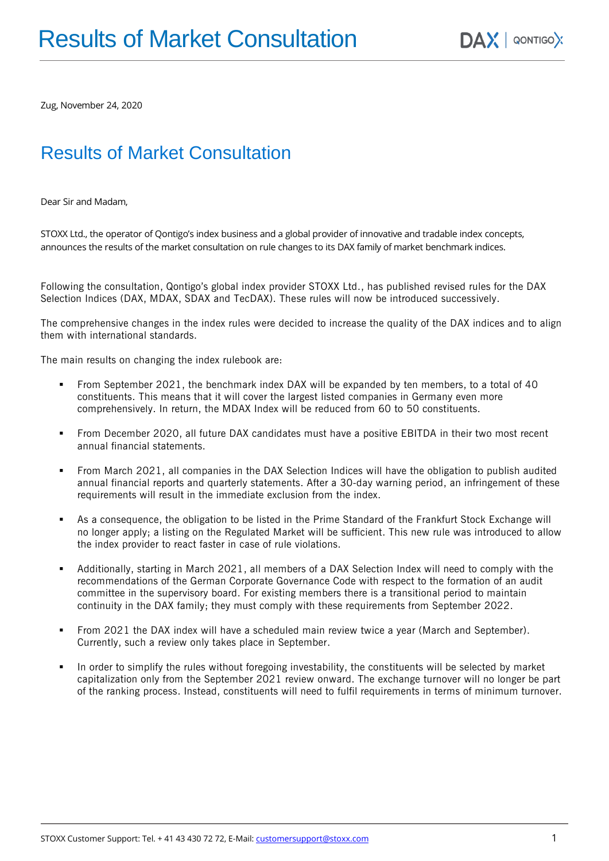Zug, November 24, 2020

# Results of Market Consultation

Dear Sir and Madam,

STOXX Ltd., the operator of Qontigo's index business and a global provider of innovative and tradable index concepts, announces the results of the market consultation on rule changes to its DAX family of market benchmark indices.

Following the consultation, Qontigo's global index provider STOXX Ltd., has published revised rules for the DAX Selection Indices (DAX, MDAX, SDAX and TecDAX). These rules will now be introduced successively.

The comprehensive changes in the index rules were decided to increase the quality of the DAX indices and to align them with international standards.

The main results on changing the index rulebook are:

- From September 2021, the benchmark index DAX will be expanded by ten members, to a total of 40 constituents. This means that it will cover the largest listed companies in Germany even more comprehensively. In return, the MDAX Index will be reduced from 60 to 50 constituents.
- From December 2020, all future DAX candidates must have a positive EBITDA in their two most recent annual financial statements.
- From March 2021, all companies in the DAX Selection Indices will have the obligation to publish audited annual financial reports and quarterly statements. After a 30-day warning period, an infringement of these requirements will result in the immediate exclusion from the index.
- **•** As a consequence, the obligation to be listed in the Prime Standard of the Frankfurt Stock Exchange will no longer apply; a listing on the Regulated Market will be sufficient. This new rule was introduced to allow the index provider to react faster in case of rule violations.
- Additionally, starting in March 2021, all members of a DAX Selection Index will need to comply with the recommendations of the German Corporate Governance Code with respect to the formation of an audit committee in the supervisory board. For existing members there is a transitional period to maintain continuity in the DAX family; they must comply with these requirements from September 2022.
- From 2021 the DAX index will have a scheduled main review twice a year (March and September). Currently, such a review only takes place in September.
- In order to simplify the rules without foregoing investability, the constituents will be selected by market capitalization only from the September 2021 review onward. The exchange turnover will no longer be part of the ranking process. Instead, constituents will need to fulfil requirements in terms of minimum turnover.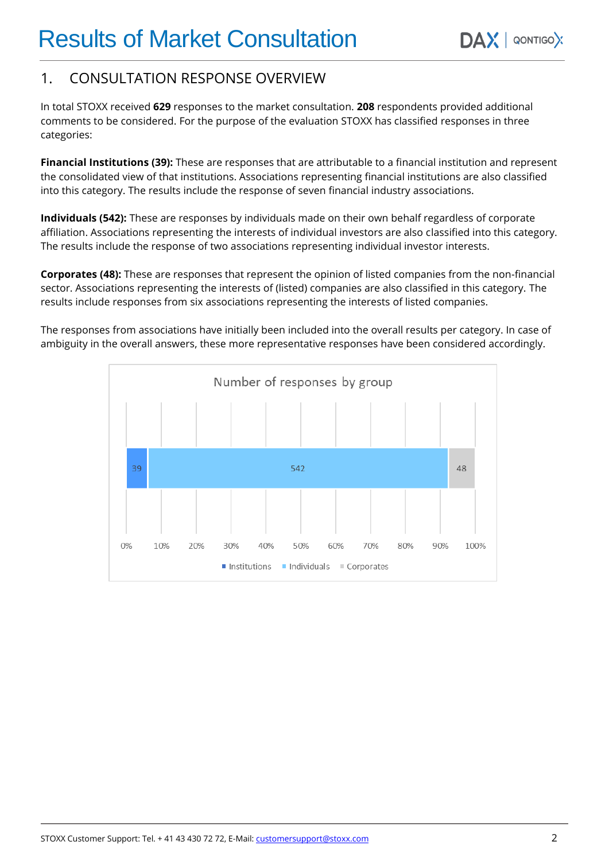# 1. CONSULTATION RESPONSE OVERVIEW

In total STOXX received **629** responses to the market consultation. **208** respondents provided additional comments to be considered. For the purpose of the evaluation STOXX has classified responses in three categories:

**Financial Institutions (39):** These are responses that are attributable to a financial institution and represent the consolidated view of that institutions. Associations representing financial institutions are also classified into this category. The results include the response of seven financial industry associations.

**Individuals (542):** These are responses by individuals made on their own behalf regardless of corporate affiliation. Associations representing the interests of individual investors are also classified into this category. The results include the response of two associations representing individual investor interests.

**Corporates (48):** These are responses that represent the opinion of listed companies from the non-financial sector. Associations representing the interests of (listed) companies are also classified in this category. The results include responses from six associations representing the interests of listed companies.

The responses from associations have initially been included into the overall results per category. In case of ambiguity in the overall answers, these more representative responses have been considered accordingly.

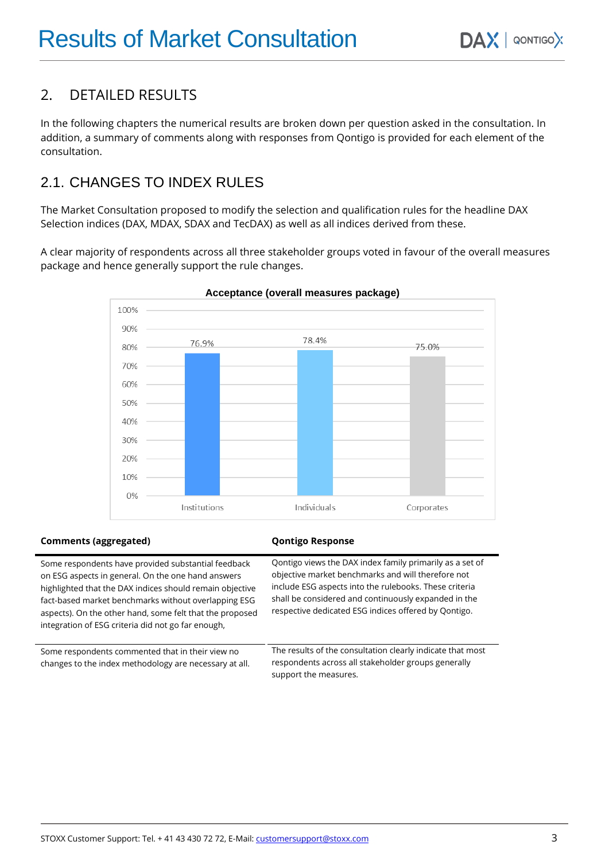# 2. DETAILED RESULTS

In the following chapters the numerical results are broken down per question asked in the consultation. In addition, a summary of comments along with responses from Qontigo is provided for each element of the consultation.

# 2.1. CHANGES TO INDEX RULES

The Market Consultation proposed to modify the selection and qualification rules for the headline DAX Selection indices (DAX, MDAX, SDAX and TecDAX) as well as all indices derived from these.

A clear majority of respondents across all three stakeholder groups voted in favour of the overall measures package and hence generally support the rule changes.



### **Comments (aggregated) Qontigo Response**

Some respondents have provided substantial feedback on ESG aspects in general. On the one hand answers highlighted that the DAX indices should remain objective fact-based market benchmarks without overlapping ESG aspects). On the other hand, some felt that the proposed integration of ESG criteria did not go far enough,

Some respondents commented that in their view no changes to the index methodology are necessary at all. Qontigo views the DAX index family primarily as a set of objective market benchmarks and will therefore not include ESG aspects into the rulebooks. These criteria shall be considered and continuously expanded in the respective dedicated ESG indices offered by Qontigo.

The results of the consultation clearly indicate that most respondents across all stakeholder groups generally support the measures.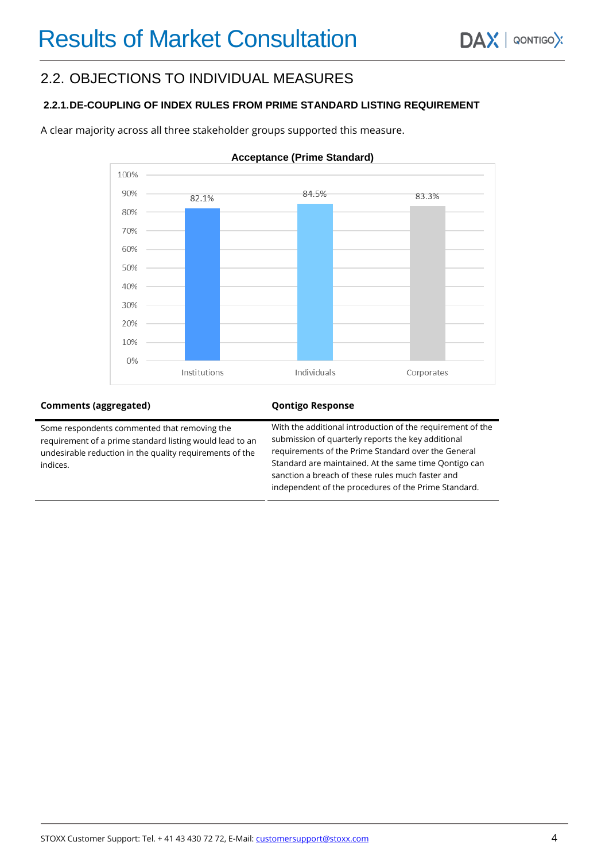## 2.2. OBJECTIONS TO INDIVIDUAL MEASURES

### **2.2.1.DE-COUPLING OF INDEX RULES FROM PRIME STANDARD LISTING REQUIREMENT**

A clear majority across all three stakeholder groups supported this measure.



#### **Acceptance (Prime Standard)**

#### **Comments (aggregated) Qontigo Response**

Some respondents commented that removing the requirement of a prime standard listing would lead to an undesirable reduction in the quality requirements of the indices.

With the additional introduction of the requirement of the submission of quarterly reports the key additional requirements of the Prime Standard over the General Standard are maintained. At the same time Qontigo can sanction a breach of these rules much faster and independent of the procedures of the Prime Standard.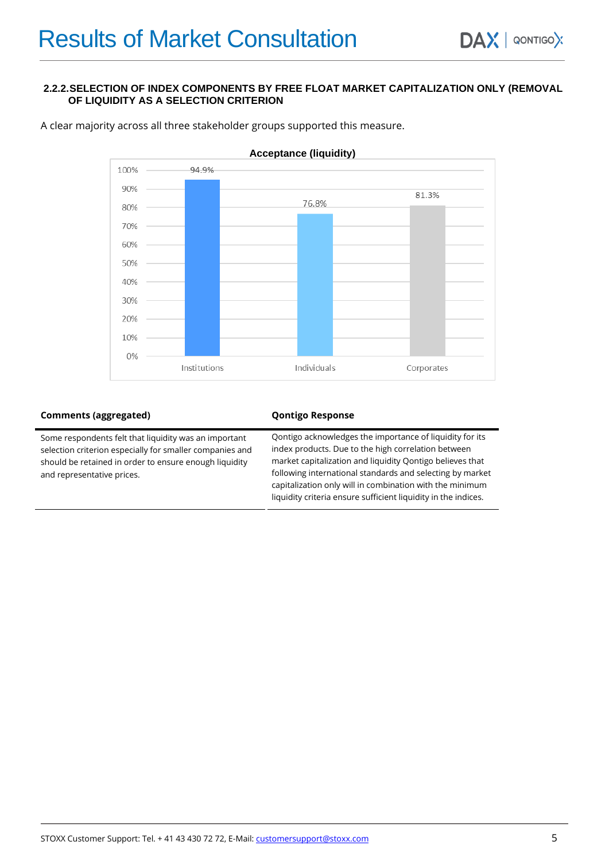#### **2.2.2.SELECTION OF INDEX COMPONENTS BY FREE FLOAT MARKET CAPITALIZATION ONLY (REMOVAL OF LIQUIDITY AS A SELECTION CRITERION**



A clear majority across all three stakeholder groups supported this measure.

#### **Comments (aggregated) Comments (aggregated) Qontigo Response**

| Some respondents felt that liquidity was an important    | Oontigo acknowledges the importance of liquidity for its       |
|----------------------------------------------------------|----------------------------------------------------------------|
| selection criterion especially for smaller companies and | index products. Due to the high correlation between            |
| should be retained in order to ensure enough liquidity   | market capitalization and liquidity Qontigo believes that      |
| and representative prices.                               | following international standards and selecting by market      |
|                                                          | capitalization only will in combination with the minimum       |
|                                                          | liquidity criteria ensure sufficient liquidity in the indices. |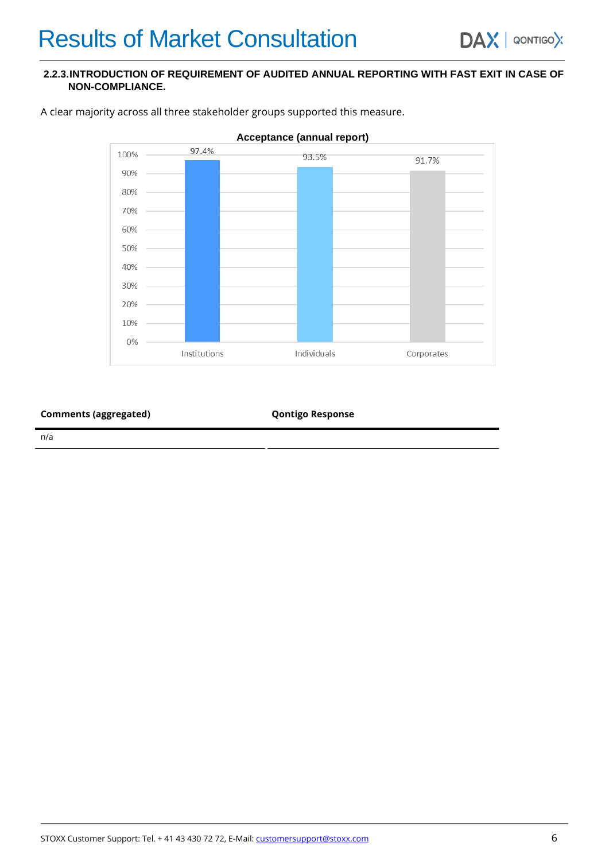### **2.2.3.INTRODUCTION OF REQUIREMENT OF AUDITED ANNUAL REPORTING WITH FAST EXIT IN CASE OF NON-COMPLIANCE.**



A clear majority across all three stakeholder groups supported this measure.

**Comments (aggregated) Comments (aggregated) Qontigo Response** 

n/a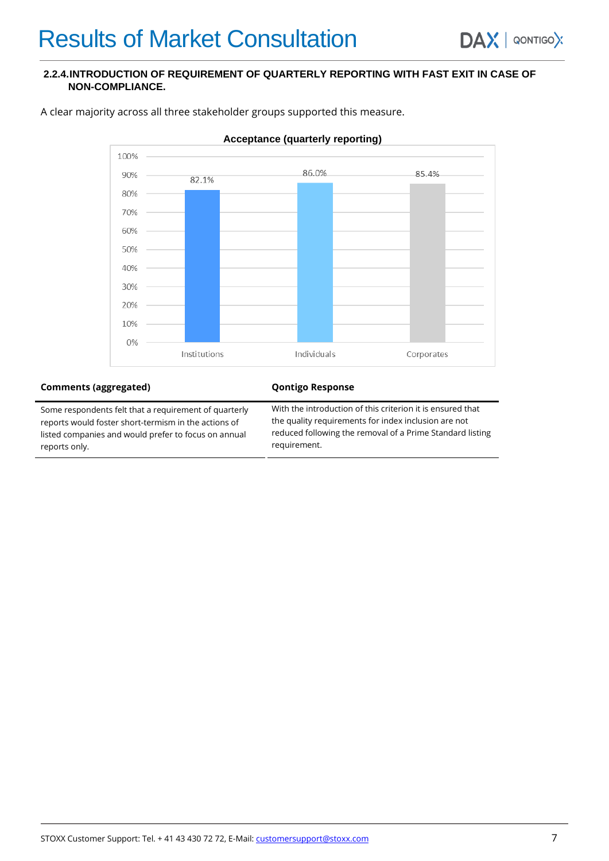#### **2.2.4.INTRODUCTION OF REQUIREMENT OF QUARTERLY REPORTING WITH FAST EXIT IN CASE OF NON-COMPLIANCE.**



A clear majority across all three stakeholder groups supported this measure.

#### **Comments (aggregated) Qontigo Response**

Some respondents felt that a requirement of quarterly reports would foster short-termism in the actions of listed companies and would prefer to focus on annual reports only.

With the introduction of this criterion it is ensured that the quality requirements for index inclusion are not reduced following the removal of a Prime Standard listing requirement.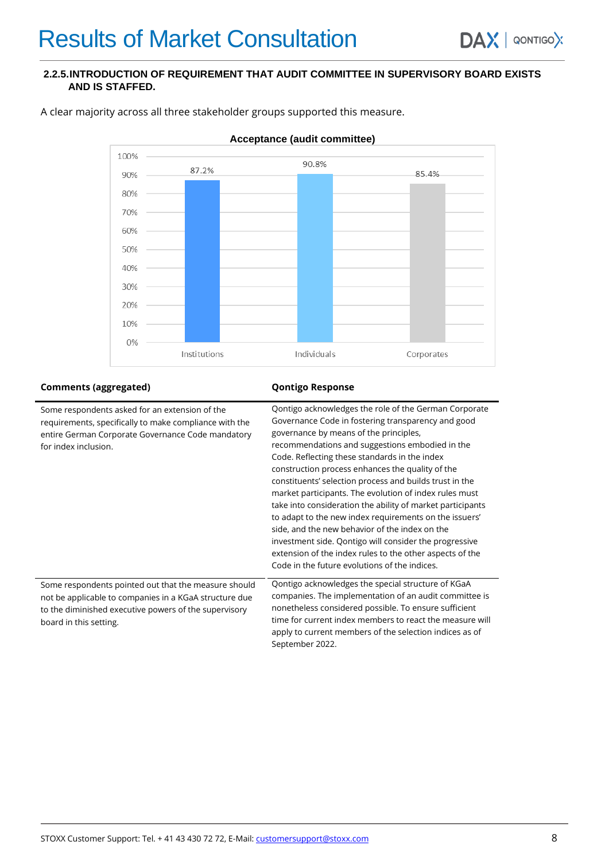#### **2.2.5.INTRODUCTION OF REQUIREMENT THAT AUDIT COMMITTEE IN SUPERVISORY BOARD EXISTS AND IS STAFFED.**



A clear majority across all three stakeholder groups supported this measure.

#### **Comments (aggregated) Qontigo Response**

| Some respondents asked for an extension of the<br>requirements, specifically to make compliance with the<br>entire German Corporate Governance Code mandatory<br>for index inclusion.             | Qontigo acknowledges the role of the German Corporate<br>Governance Code in fostering transparency and good<br>governance by means of the principles,<br>recommendations and suggestions embodied in the<br>Code. Reflecting these standards in the index<br>construction process enhances the quality of the<br>constituents' selection process and builds trust in the<br>market participants. The evolution of index rules must<br>take into consideration the ability of market participants<br>to adapt to the new index requirements on the issuers'<br>side, and the new behavior of the index on the<br>investment side. Qontigo will consider the progressive<br>extension of the index rules to the other aspects of the<br>Code in the future evolutions of the indices. |
|---------------------------------------------------------------------------------------------------------------------------------------------------------------------------------------------------|-------------------------------------------------------------------------------------------------------------------------------------------------------------------------------------------------------------------------------------------------------------------------------------------------------------------------------------------------------------------------------------------------------------------------------------------------------------------------------------------------------------------------------------------------------------------------------------------------------------------------------------------------------------------------------------------------------------------------------------------------------------------------------------|
| Some respondents pointed out that the measure should<br>not be applicable to companies in a KGaA structure due<br>to the diminished executive powers of the supervisory<br>board in this setting. | Qontigo acknowledges the special structure of KGaA<br>companies. The implementation of an audit committee is<br>nonetheless considered possible. To ensure sufficient<br>time for current index members to react the measure will<br>apply to current members of the selection indices as of<br>September 2022.                                                                                                                                                                                                                                                                                                                                                                                                                                                                     |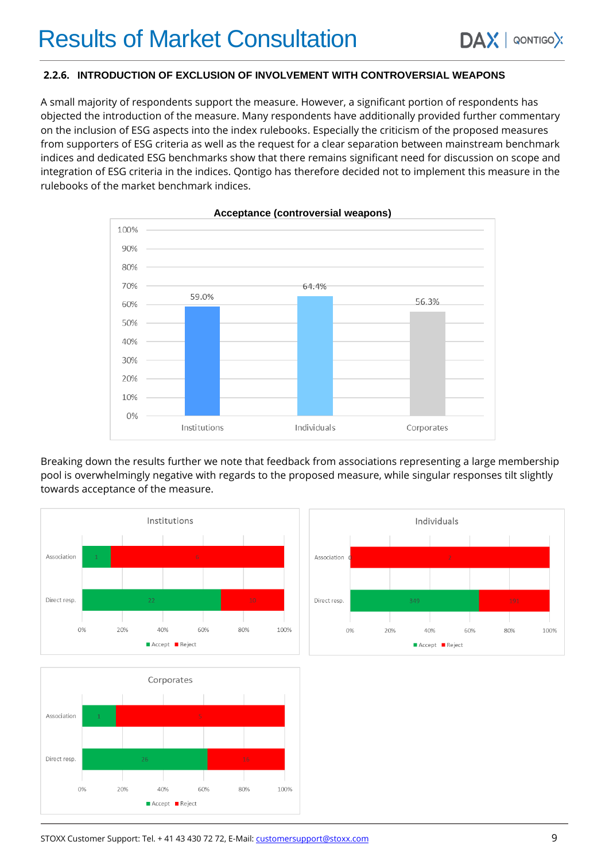### **2.2.6. INTRODUCTION OF EXCLUSION OF INVOLVEMENT WITH CONTROVERSIAL WEAPONS**

A small majority of respondents support the measure. However, a significant portion of respondents has objected the introduction of the measure. Many respondents have additionally provided further commentary on the inclusion of ESG aspects into the index rulebooks. Especially the criticism of the proposed measures from supporters of ESG criteria as well as the request for a clear separation between mainstream benchmark indices and dedicated ESG benchmarks show that there remains significant need for discussion on scope and integration of ESG criteria in the indices. Qontigo has therefore decided not to implement this measure in the rulebooks of the market benchmark indices.



#### **Acceptance (controversial weapons)**

Breaking down the results further we note that feedback from associations representing a large membership pool is overwhelmingly negative with regards to the proposed measure, while singular responses tilt slightly towards acceptance of the measure.





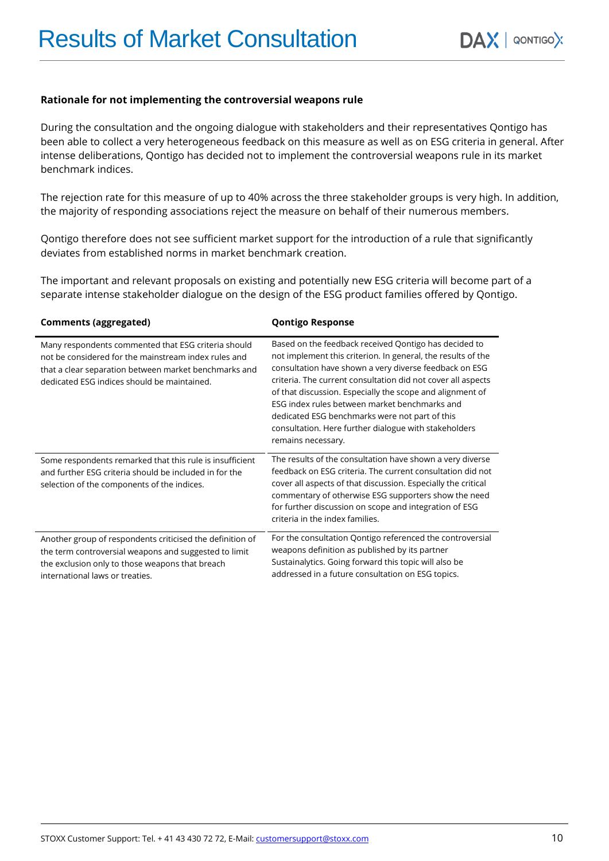#### **Rationale for not implementing the controversial weapons rule**

During the consultation and the ongoing dialogue with stakeholders and their representatives Qontigo has been able to collect a very heterogeneous feedback on this measure as well as on ESG criteria in general. After intense deliberations, Qontigo has decided not to implement the controversial weapons rule in its market benchmark indices.

The rejection rate for this measure of up to 40% across the three stakeholder groups is very high. In addition, the majority of responding associations reject the measure on behalf of their numerous members.

Qontigo therefore does not see sufficient market support for the introduction of a rule that significantly deviates from established norms in market benchmark creation.

The important and relevant proposals on existing and potentially new ESG criteria will become part of a separate intense stakeholder dialogue on the design of the ESG product families offered by Qontigo.

| <b>Comments (aggregated)</b>                                                                                                                                                                                        | <b>Qontigo Response</b>                                                                                                                                                                                                                                                                                                                                                                                                                                                                        |
|---------------------------------------------------------------------------------------------------------------------------------------------------------------------------------------------------------------------|------------------------------------------------------------------------------------------------------------------------------------------------------------------------------------------------------------------------------------------------------------------------------------------------------------------------------------------------------------------------------------------------------------------------------------------------------------------------------------------------|
| Many respondents commented that ESG criteria should<br>not be considered for the mainstream index rules and<br>that a clear separation between market benchmarks and<br>dedicated ESG indices should be maintained. | Based on the feedback received Qontigo has decided to<br>not implement this criterion. In general, the results of the<br>consultation have shown a very diverse feedback on ESG<br>criteria. The current consultation did not cover all aspects<br>of that discussion. Especially the scope and alignment of<br>ESG index rules between market benchmarks and<br>dedicated ESG benchmarks were not part of this<br>consultation. Here further dialogue with stakeholders<br>remains necessary. |
| Some respondents remarked that this rule is insufficient<br>and further ESG criteria should be included in for the<br>selection of the components of the indices.                                                   | The results of the consultation have shown a very diverse<br>feedback on ESG criteria. The current consultation did not<br>cover all aspects of that discussion. Especially the critical<br>commentary of otherwise ESG supporters show the need<br>for further discussion on scope and integration of ESG<br>criteria in the index families.                                                                                                                                                  |
| Another group of respondents criticised the definition of<br>the term controversial weapons and suggested to limit<br>the exclusion only to those weapons that breach<br>international laws or treaties.            | For the consultation Qontigo referenced the controversial<br>weapons definition as published by its partner<br>Sustainalytics. Going forward this topic will also be<br>addressed in a future consultation on ESG topics.                                                                                                                                                                                                                                                                      |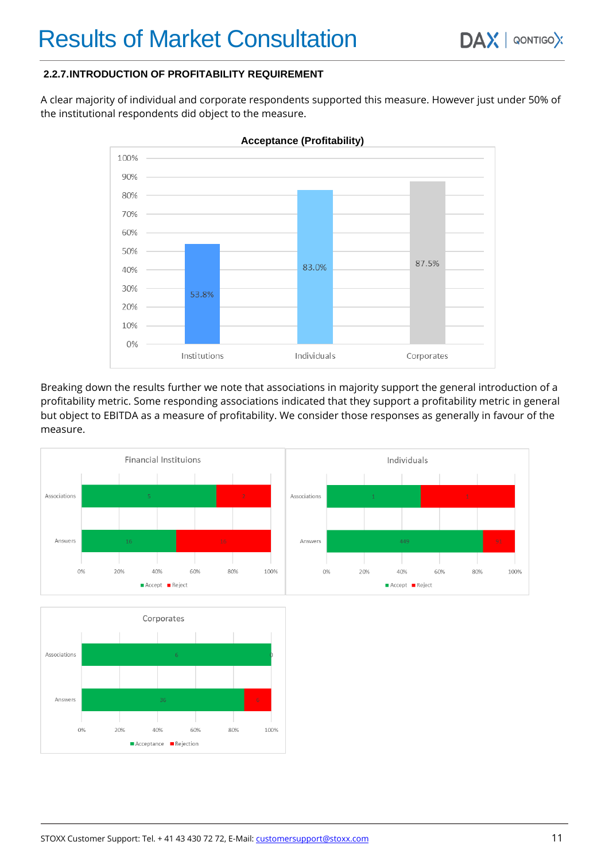### **2.2.7.INTRODUCTION OF PROFITABILITY REQUIREMENT**

A clear majority of individual and corporate respondents supported this measure. However just under 50% of the institutional respondents did object to the measure.



**Acceptance (Profitability)**

Breaking down the results further we note that associations in majority support the general introduction of a profitability metric. Some responding associations indicated that they support a profitability metric in general but object to EBITDA as a measure of profitability. We consider those responses as generally in favour of the measure.



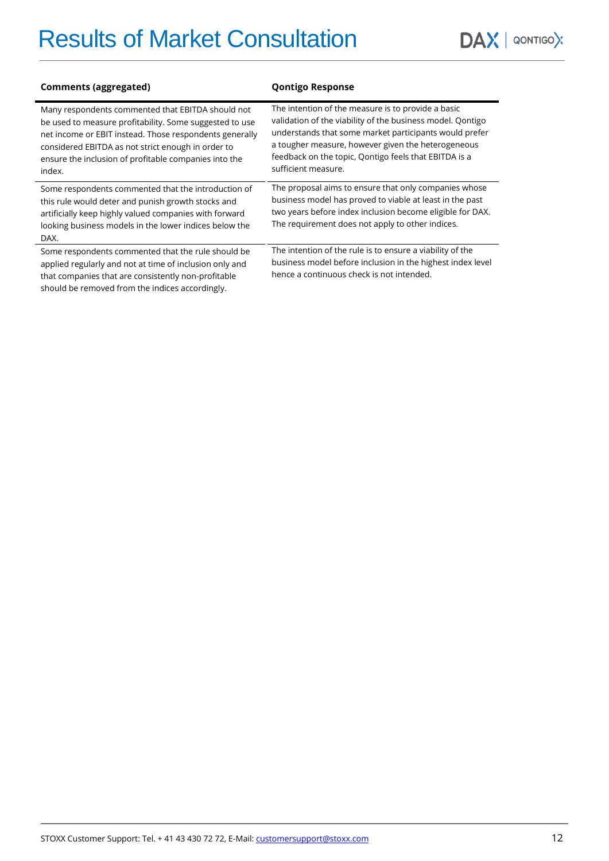# Results of Market Consultation

 $DAX$  | QONTIGOX

| <b>Comments (aggregated)</b>                                                                                                                                                                                                                                                                     | <b>Qontigo Response</b>                                                                                                                                                                                                                                                                                          |
|--------------------------------------------------------------------------------------------------------------------------------------------------------------------------------------------------------------------------------------------------------------------------------------------------|------------------------------------------------------------------------------------------------------------------------------------------------------------------------------------------------------------------------------------------------------------------------------------------------------------------|
| Many respondents commented that EBITDA should not<br>be used to measure profitability. Some suggested to use<br>net income or EBIT instead. Those respondents generally<br>considered EBITDA as not strict enough in order to<br>ensure the inclusion of profitable companies into the<br>index. | The intention of the measure is to provide a basic<br>validation of the viability of the business model. Qontigo<br>understands that some market participants would prefer<br>a tougher measure, however given the heterogeneous<br>feedback on the topic, Qontigo feels that EBITDA is a<br>sufficient measure. |
| Some respondents commented that the introduction of<br>this rule would deter and punish growth stocks and<br>artificially keep highly valued companies with forward<br>looking business models in the lower indices below the<br>DAX.                                                            | The proposal aims to ensure that only companies whose<br>business model has proved to viable at least in the past<br>two years before index inclusion become eligible for DAX.<br>The requirement does not apply to other indices.                                                                               |
| Some respondents commented that the rule should be<br>applied regularly and not at time of inclusion only and<br>that companies that are consistently non-profitable<br>should be removed from the indices accordingly.                                                                          | The intention of the rule is to ensure a viability of the<br>business model before inclusion in the highest index level<br>hence a continuous check is not intended.                                                                                                                                             |